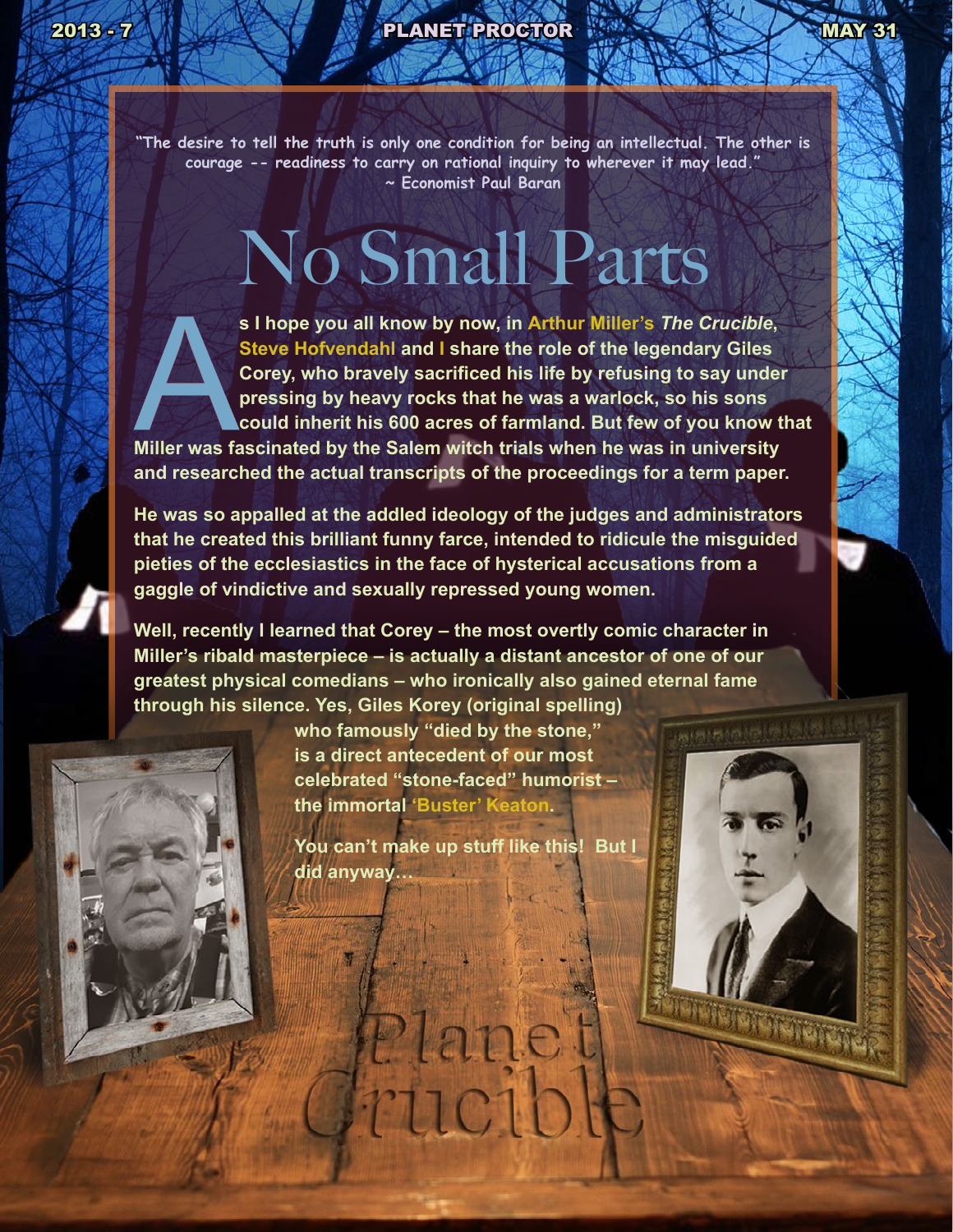# 2013 - 7 MAY 31

**"The desire to tell the truth is only one condition for being an intellectual. The other is courage -- readiness to carry on rational inquiry to wherever it may lead." ~ Economist Paul Baran**

# No Small Parts



**s I hope you all know by now, in Arthur Miller's The Crucible,**<br> **Steve Hofvendahl and I share the role of the legendary Giles**<br> **Corey, who bravely sacrificed his life by refusing to say under**<br>
pressing by heavy rocks t **Steve Hofvendahl and I share the role of the legendary Giles Corey, who bravely sacrificed his life by refusing to say under pressing by heavy rocks that he was a warlock, so his sons could inherit his 600 acres of farmland. But few of you know that** 

**and researched the actual transcripts of the proceedings for a term paper.** 

**He was so appalled at the addled ideology of the judges and administrators that he created this brilliant funny farce, intended to ridicule the misguided pieties of the ecclesiastics in the face of hysterical accusations from a gaggle of vindictive and sexually repressed young women.**

**Well, recently I learned that Corey – the most overtly comic character in Miller's ribald masterpiece – is actually a distant ancestor of one of our greatest physical comedians – who ironically also gained eternal fame through his silence. Yes, Giles Korey (original spelling)** 



**who famously "died by the stone," is a direct antecedent of our most celebrated "stone-faced" humorist – the immortal 'Buster' Keaton.** 

**You can't make up stuff like this! But I did anyway…** 

Plane

rucib

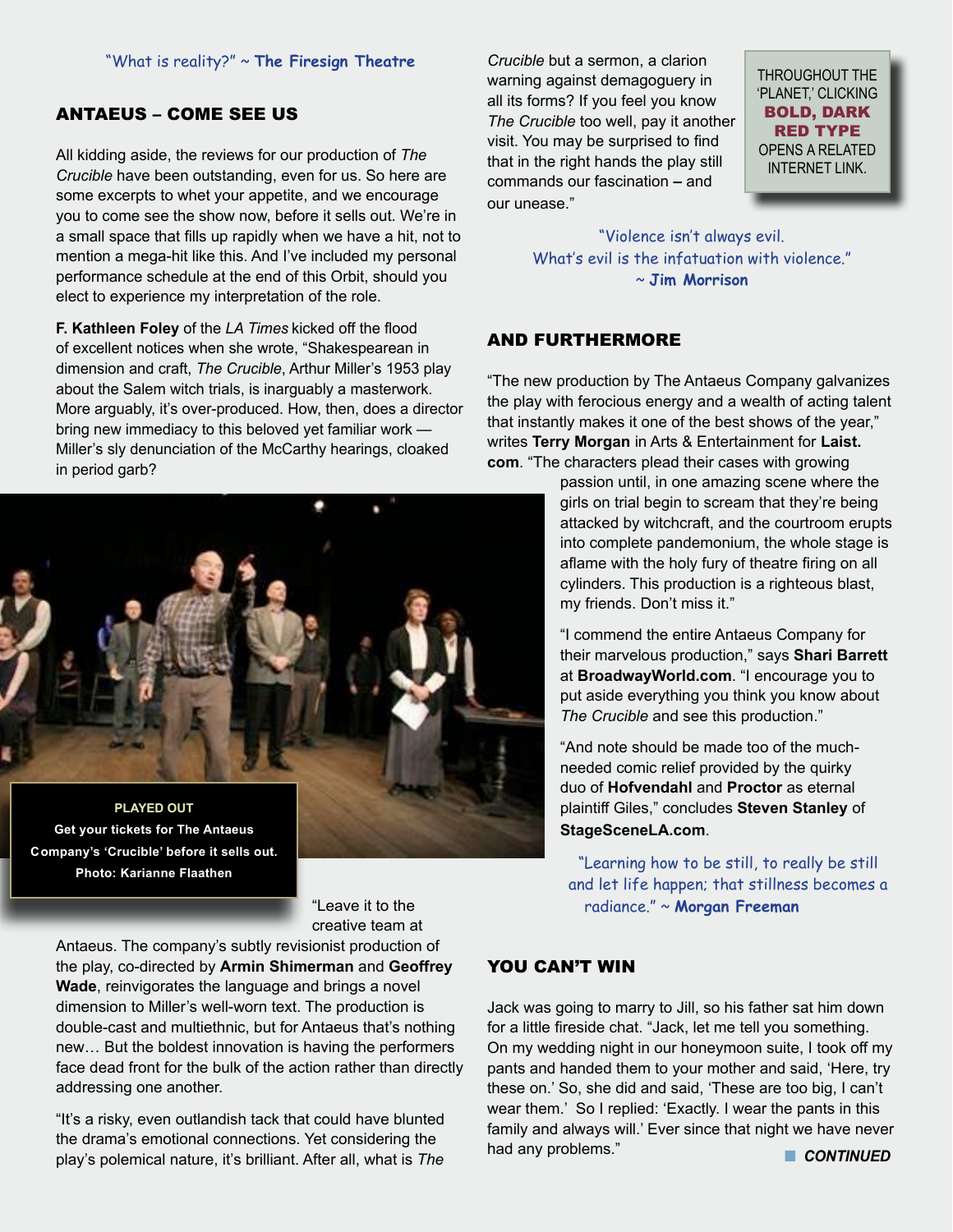#### "What is reality?" ~ **The Firesign Theatre**

# ANTAEUS – COME SEE US

All kidding aside, the reviews for our production of *The Crucible* have been outstanding, even for us. So here are some excerpts to whet your appetite, and we encourage you to come see the show now, before it sells out. We're in a small space that fills up rapidly when we have a hit, not to mention a mega-hit like this. And I've included my personal performance schedule at the end of this Orbit, should you elect to experience my interpretation of the role.

**F. Kathleen Foley** of the *LA Times* kicked off the flood of excellent notices when she wrote, "Shakespearean in dimension and craft, *The Crucible*, Arthur Miller's 1953 play about the Salem witch trials, is inarguably a masterwork. More arguably, it's over-produced. How, then, does a director bring new immediacy to this beloved yet familiar work — Miller's sly denunciation of the McCarthy hearings, cloaked in period garb?



**Get your tickets for The Antaeus Company's 'Crucible' before it sells out. Photo: Karianne Flaathen**

*Crucible* but a sermon, a clarion warning against demagoguery in all its forms? If you feel you know *The Crucible* too well, pay it another visit. You may be surprised to find that in the right hands the play still commands our fascination **–** and our unease."

THROUGHOUT THE 'PLANET,' CLICKING BOLD, DARK RED TYPE OPENS A RELATED INTERNET LINK.

"Violence isn't always evil. What's evil is the infatuation with violence." ~ **Jim Morrison**

#### AND FURTHERMORE

"The new production by The Antaeus Company galvanizes the play with ferocious energy and a wealth of acting talent that instantly makes it one of the best shows of the year," writes **Terry Morgan** in Arts & Entertainment for **Laist. com**. "The characters plead their cases with growing

> passion until, in one amazing scene where the girls on trial begin to scream that they're being attacked by witchcraft, and the courtroom erupts into complete pandemonium, the whole stage is aflame with the holy fury of theatre firing on all cylinders. This production is a righteous blast, my friends. Don't miss it."

> "I commend the entire Antaeus Company for their marvelous production," says **Shari Barrett** at **BroadwayWorld.com**. "I encourage you to put aside everything you think you know about *The Crucible* and see this production."

"And note should be made too of the muchneeded comic relief provided by the quirky duo of **Hofvendahl** and **Proctor** as eternal plaintiff Giles," concludes **Steven Stanley** of **StageSceneLA.com**.

"Learning how to be still, to really be still and let life happen; that stillness becomes a radiance." ~ **Morgan Freeman**

"Leave it to the creative team at

Antaeus. The company's subtly revisionist production of the play, co-directed by **Armin Shimerman** and **Geoffrey Wade**, reinvigorates the language and brings a novel dimension to Miller's well-worn text. The production is double-cast and multiethnic, but for Antaeus that's nothing new… But the boldest innovation is having the performers face dead front for the bulk of the action rather than directly addressing one another.

"It's a risky, even outlandish tack that could have blunted the drama's emotional connections. Yet considering the play's polemical nature, it's brilliant. After all, what is *The* 

### YOU CAN'T WIN

Jack was going to marry to Jill, so his father sat him down for a little fireside chat. "Jack, let me tell you something. On my wedding night in our honeymoon suite, I took off my pants and handed them to your mother and said, 'Here, try these on.' So, she did and said, 'These are too big, I can't wear them.' So I replied: 'Exactly. I wear the pants in this family and always will.' Ever since that night we have never had any problems." **n CONTINUED**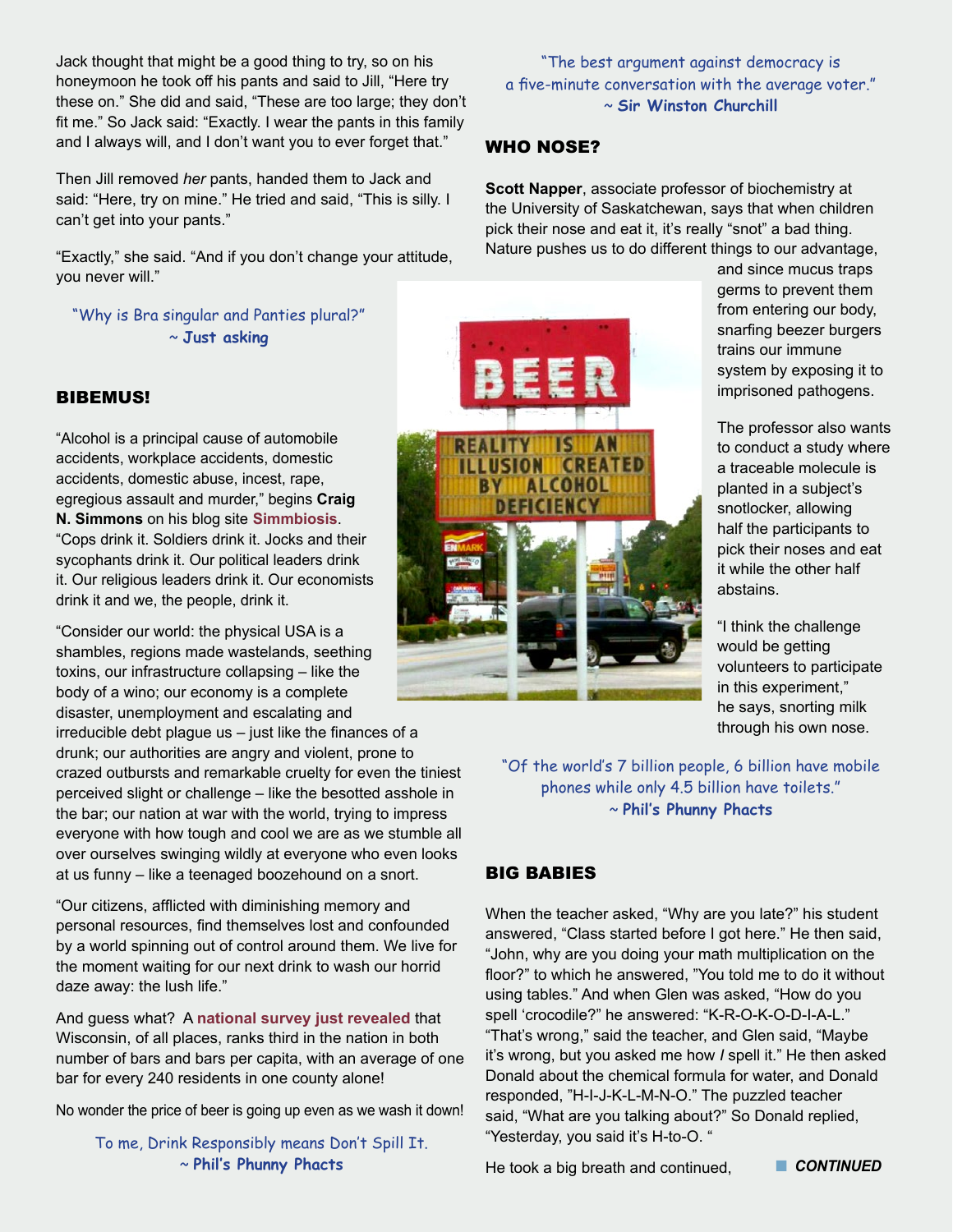Jack thought that might be a good thing to try, so on his honeymoon he took off his pants and said to Jill, "Here try these on." She did and said, "These are too large; they don't fit me." So Jack said: "Exactly. I wear the pants in this family and I always will, and I don't want you to ever forget that."

Then Jill removed *her* pants, handed them to Jack and said: "Here, try on mine." He tried and said, "This is silly. I can't get into your pants."

"Exactly," she said. "And if you don't change your attitude, you never will."

"Why is Bra singular and Panties plural?" ~ **Just asking**

## BIBEMUS!

"Alcohol is a principal cause of automobile accidents, workplace accidents, domestic accidents, domestic abuse, incest, rape, egregious assault and murder," begins **Craig N. Simmons** on his blog site **[Simmbiosis](http://simmbiosis.blogspot.com/2013/05/i-drink-touh-i-forget.html)**. "Cops drink it. Soldiers drink it. Jocks and their sycophants drink it. Our political leaders drink it. Our religious leaders drink it. Our economists drink it and we, the people, drink it.

"Consider our world: the physical USA is a shambles, regions made wastelands, seething toxins, our infrastructure collapsing – like the body of a wino; our economy is a complete disaster, unemployment and escalating and irreducible debt plague us – just like the finances of a drunk; our authorities are angry and violent, prone to crazed outbursts and remarkable cruelty for even the tiniest

perceived slight or challenge – like the besotted asshole in the bar; our nation at war with the world, trying to impress everyone with how tough and cool we are as we stumble all over ourselves swinging wildly at everyone who even looks at us funny – like a teenaged boozehound on a snort.

"Our citizens, afflicted with diminishing memory and personal resources, find themselves lost and confounded by a world spinning out of control around them. We live for the moment waiting for our next drink to wash our horrid daze away: the lush life."

And guess what? A **[national survey just revealed](http://host.madison.com/ct/news/local/data-only-states-have-more-bars-than-wisconsin/html_1a7a0e58-b732-11e2-99a0-001a4bcf887a.html)** that Wisconsin, of all places, ranks third in the nation in both number of bars and bars per capita, with an average of one bar for every 240 residents in one county alone!

No wonder the price of beer is going up even as we wash it down!

To me, Drink Responsibly means Don't Spill It. ~ **Phil's Phunny Phacts**

"The best argument against democracy is a five-minute conversation with the average voter." ~ **Sir Winston Churchill**

#### WHO NOSE?

**Scott Napper**, associate professor of biochemistry at the University of Saskatchewan, says that when children pick their nose and eat it, it's really "snot" a bad thing. Nature pushes us to do different things to our advantage,

and since mucus traps germs to prevent them from entering our body, snarfing beezer burgers trains our immune system by exposing it to imprisoned pathogens.

The professor also wants to conduct a study where a traceable molecule is planted in a subject's snotlocker, allowing half the participants to pick their noses and eat it while the other half abstains.

"I think the challenge would be getting volunteers to participate in this experiment," he says, snorting milk through his own nose.

"Of the world's 7 billion people, 6 billion have mobile phones while only 4.5 billion have toilets." ~ **Phil's Phunny Phacts**

# BIG BABIES

When the teacher asked, "Why are you late?" his student answered, "Class started before I got here." He then said, "John, why are you doing your math multiplication on the floor?" to which he answered, "You told me to do it without using tables." And when Glen was asked, "How do you spell 'crocodile?" he answered: "K-R-O-K-O-D-I-A-L." "That's wrong," said the teacher, and Glen said, "Maybe it's wrong, but you asked me how *I* spell it." He then asked Donald about the chemical formula for water, and Donald responded, "H-I-J-K-L-M-N-O." The puzzled teacher said, "What are you talking about?" So Donald replied, "Yesterday, you said it's H-to-O. "

He took a big breath and continued, **Net CONTINUED** 

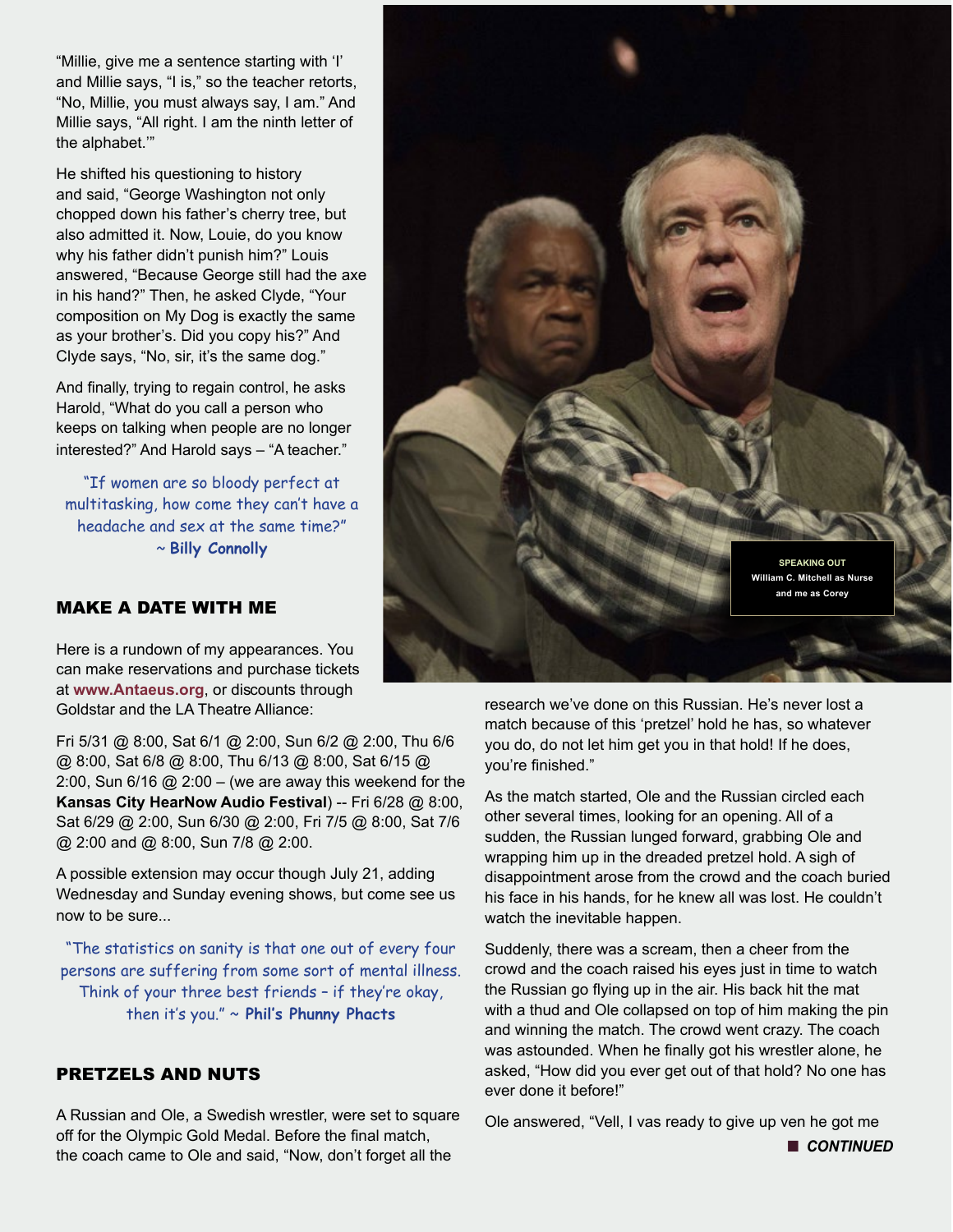"Millie, give me a sentence starting with 'I' and Millie says, "I is," so the teacher retorts, "No, Millie, you must always say, I am." And Millie says, "All right. I am the ninth letter of the alphabet.'"

He shifted his questioning to history and said, "George Washington not only chopped down his father's cherry tree, but also admitted it. Now, Louie, do you know why his father didn't punish him?" Louis answered, "Because George still had the axe in his hand?" Then, he asked Clyde, "Your composition on My Dog is exactly the same as your brother's. Did you copy his?" And Clyde says, "No, sir, it's the same dog."

And finally, trying to regain control, he asks Harold, "What do you call a person who keeps on talking when people are no longer interested?" And Harold says – "A teacher."

"If women are so bloody perfect at multitasking, how come they can't have a headache and sex at the same time?" ~ **Billy Connolly**

# MAKE A DATE WITH ME

Here is a rundown of my appearances. You can make reservations and purchase tickets at **[www.Antaeus.org](http://www.Antaeus.org)**, or discounts through Goldstar and the LA Theatre Alliance:

Fri 5/31 @ 8:00, Sat 6/1 @ 2:00, Sun 6/2 @ 2:00, Thu 6/6 @ 8:00, Sat 6/8 @ 8:00, Thu 6/13 @ 8:00, Sat 6/15 @ 2:00, Sun  $6/16$  @ 2:00 – (we are away this weekend for the **Kansas City HearNow Audio Festival**) -- Fri 6/28 @ 8:00, Sat 6/29 @ 2:00, Sun 6/30 @ 2:00, Fri 7/5 @ 8:00, Sat 7/6 @ 2:00 and @ 8:00, Sun 7/8 @ 2:00.

A possible extension may occur though July 21, adding Wednesday and Sunday evening shows, but come see us now to be sure...

"The statistics on sanity is that one out of every four persons are suffering from some sort of mental illness. Think of your three best friends – if they're okay, then it's you." ~ **Phil's Phunny Phacts**

# PRETZELS AND NUTS

A Russian and Ole, a Swedish wrestler, were set to square off for the Olympic Gold Medal. Before the final match, the coach came to Ole and said, "Now, don't forget all the



research we've done on this Russian. He's never lost a match because of this 'pretzel' hold he has, so whatever you do, do not let him get you in that hold! If he does, you're finished."

As the match started, Ole and the Russian circled each other several times, looking for an opening. All of a sudden, the Russian lunged forward, grabbing Ole and wrapping him up in the dreaded pretzel hold. A sigh of disappointment arose from the crowd and the coach buried his face in his hands, for he knew all was lost. He couldn't watch the inevitable happen.

Suddenly, there was a scream, then a cheer from the crowd and the coach raised his eyes just in time to watch the Russian go flying up in the air. His back hit the mat with a thud and Ole collapsed on top of him making the pin and winning the match. The crowd went crazy. The coach was astounded. When he finally got his wrestler alone, he asked, "How did you ever get out of that hold? No one has ever done it before!"

Ole answered, "Vell, I vas ready to give up ven he got me